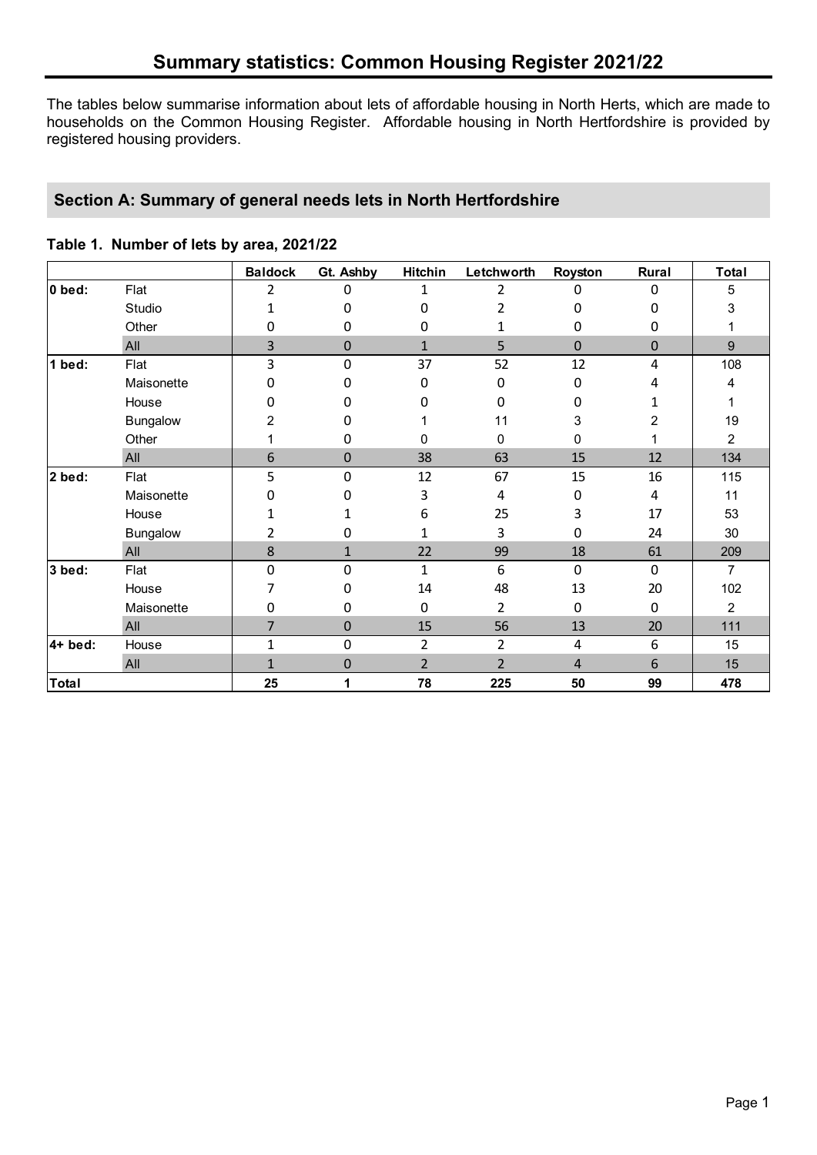The tables below summarise information about lets of affordable housing in North Herts, which are made to households on the Common Housing Register. Affordable housing in North Hertfordshire is provided by registered housing providers.

# **Section A: Summary of general needs lets in North Hertfordshire**

|  |  | Table 1. Number of lets by area, 2021/22 |  |  |
|--|--|------------------------------------------|--|--|
|--|--|------------------------------------------|--|--|

|                |                 | <b>Baldock</b> | Gt. Ashby   | Hitchin        | Letchworth     | Royston      | Rural    | <b>Total</b> |
|----------------|-----------------|----------------|-------------|----------------|----------------|--------------|----------|--------------|
| $\vert$ 0 bed: | Flat            | 2              | 0           | 1              | 2              | 0            | $\Omega$ | 5            |
|                | Studio          | 1              | 0           | 0              | 2              | 0            | 0        | 3            |
|                | Other           | 0              | 0           | 0              |                | 0            | 0        |              |
|                | All             | 3              | 0           | $\mathbf{1}$   | 5              | $\Omega$     | 0        | 9            |
| 1 bed:         | Flat            | 3              | $\mathbf 0$ | 37             | 52             | 12           | 4        | 108          |
|                | Maisonette      | 0              | 0           | 0              | 0              | 0            | 4        | 4            |
|                | House           | 0              | 0           | 0              | 0              | 0            |          |              |
|                | Bungalow        | 2              | 0           |                | 11             | 3            | 2        | 19           |
|                | Other           |                | 0           | 0              | 0              | 0            |          | 2            |
|                | All             | 6              | 0           | 38             | 63             | 15           | 12       | 134          |
| $2$ bed:       | Flat            | 5              | $\mathbf 0$ | 12             | 67             | 15           | 16       | 115          |
|                | Maisonette      | 0              | 0           | 3              | 4              | 0            | 4        | 11           |
|                | House           | 1              |             | 6              | 25             | 3            | 17       | 53           |
|                | <b>Bungalow</b> | 2              | 0           | 1              | 3              | 0            | 24       | 30           |
|                | All             | 8              | 1           | 22             | 99             | 18           | 61       | 209          |
| 3 bed:         | Flat            | $\Omega$       | $\mathbf 0$ | 1              | 6              | $\Omega$     | $\Omega$ | 7            |
|                | House           | 7              | 0           | 14             | 48             | 13           | 20       | 102          |
|                | Maisonette      | 0              | 0           | 0              | 2              | $\mathbf{0}$ | 0        | 2            |
|                | All             | 7              | $\mathbf 0$ | 15             | 56             | 13           | 20       | 111          |
| $4+$ bed:      | House           | 1              | $\mathbf 0$ | $\overline{2}$ | $\overline{2}$ | 4            | 6        | 15           |
|                | All             | $\mathbf{1}$   | 0           | $\overline{2}$ | $\overline{2}$ | 4            | 6        | 15           |
| Total          |                 | 25             | 1           | 78             | 225            | 50           | 99       | 478          |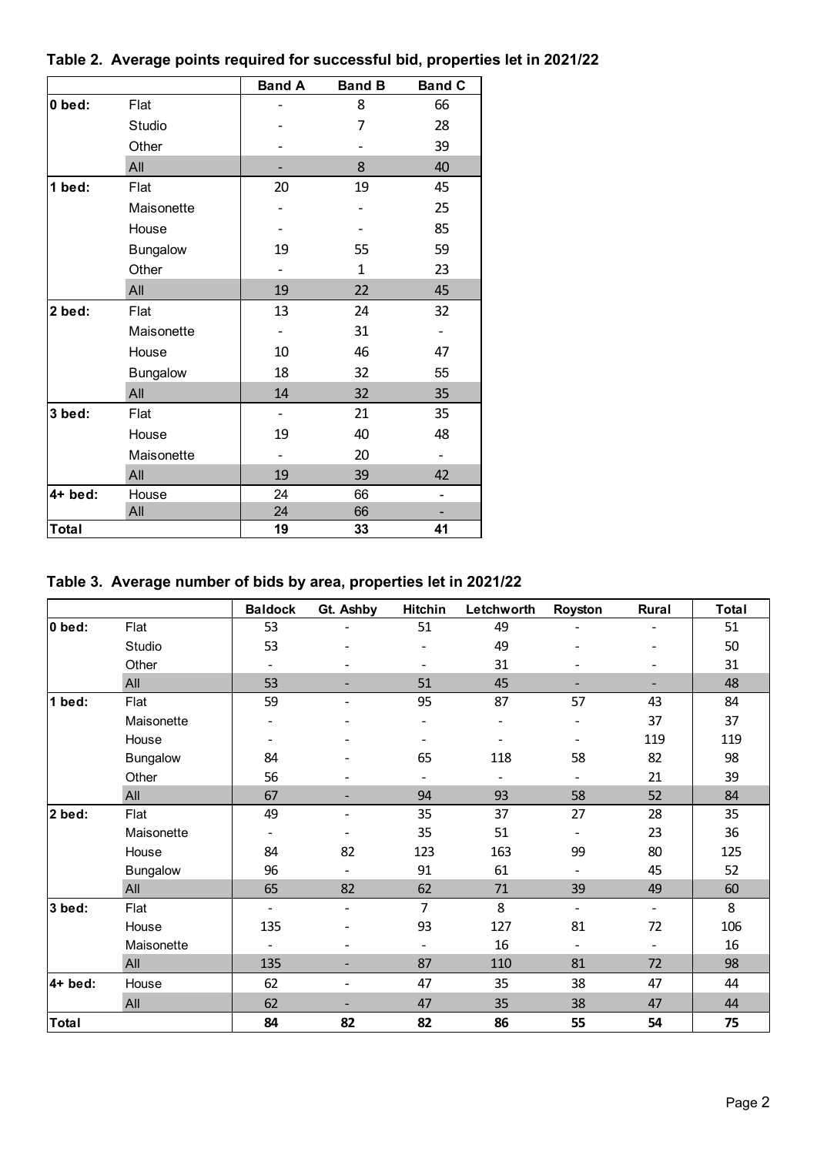|           |                 | <b>Band A</b> | <b>Band B</b> | <b>Band C</b> |
|-----------|-----------------|---------------|---------------|---------------|
| 0 bed:    | Flat            |               | 8             | 66            |
|           | Studio          |               | 7             | 28            |
|           | Other           |               |               | 39            |
|           | All             |               | 8             | 40            |
| 1 bed:    | Flat            | 20            | 19            | 45            |
|           | Maisonette      |               |               | 25            |
|           | House           |               |               | 85            |
|           | <b>Bungalow</b> | 19            | 55            | 59            |
|           | Other           |               | 1             | 23            |
|           | All             | 19            | 22            | 45            |
| 2 bed:    | Flat            | 13            | 24            | 32            |
|           | Maisonette      |               | 31            |               |
|           | House           | 10            | 46            | 47            |
|           | <b>Bungalow</b> | 18            | 32            | 55            |
|           | All             | 14            | 32            | 35            |
| 3 bed:    | Flat            |               | 21            | 35            |
|           | House           | 19            | 40            | 48            |
|           | Maisonette      |               | 20            |               |
|           | All             | 19            | 39            | 42            |
| $4+$ bed: | House           | 24            | 66            |               |
|           | All             | 24            | 66            |               |
| Total     |                 | 19            | 33            | 41            |

# **Table 2. Average points required for successful bid, properties let in 2021/22**

# **Table 3. Average number of bids by area, properties let in 2021/22**

|                |                 | <b>Baldock</b>               | Gt. Ashby                | Hitchin                      | Letchworth                   | Royston                  | Rural                    | <b>Total</b> |
|----------------|-----------------|------------------------------|--------------------------|------------------------------|------------------------------|--------------------------|--------------------------|--------------|
| $\vert$ 0 bed: | Flat            | 53                           |                          | 51                           | 49                           |                          |                          | 51           |
|                | Studio          | 53                           |                          | $\overline{\phantom{0}}$     | 49                           |                          |                          | 50           |
|                | Other           | $\overline{\phantom{a}}$     |                          |                              | 31                           |                          |                          | 31           |
|                | All             | 53                           |                          | 51                           | 45                           |                          |                          | 48           |
| 1 bed:         | Flat            | 59                           |                          | 95                           | 87                           | 57                       | 43                       | 84           |
|                | Maisonette      | $\qquad \qquad -$            |                          |                              |                              |                          | 37                       | 37           |
|                | House           | $\qquad \qquad \blacksquare$ |                          | $\qquad \qquad \blacksquare$ | $\qquad \qquad \blacksquare$ |                          | 119                      | 119          |
|                | Bungalow        | 84                           |                          | 65                           | 118                          | 58                       | 82                       | 98           |
|                | Other           | 56                           |                          |                              |                              |                          | 21                       | 39           |
|                | All             | 67                           | -                        | 94                           | 93                           | 58                       | 52                       | 84           |
| 2 bed:         | Flat            | 49                           | -                        | 35                           | 37                           | 27                       | 28                       | 35           |
|                | Maisonette      | $\qquad \qquad -$            | $\overline{\phantom{0}}$ | 35                           | 51                           |                          | 23                       | 36           |
|                | House           | 84                           | 82                       | 123                          | 163                          | 99                       | 80                       | 125          |
|                | <b>Bungalow</b> | 96                           | $\overline{\phantom{a}}$ | 91                           | 61                           |                          | 45                       | 52           |
|                | All             | 65                           | 82                       | 62                           | 71                           | 39                       | 49                       | 60           |
| 3 bed:         | Flat            | $\overline{\phantom{a}}$     | $\overline{\phantom{a}}$ | $\overline{7}$               | 8                            | $\overline{\phantom{a}}$ | $\overline{\phantom{a}}$ | 8            |
|                | House           | 135                          |                          | 93                           | 127                          | 81                       | 72                       | 106          |
|                | Maisonette      | $\overline{\phantom{a}}$     |                          | $\overline{\phantom{a}}$     | 16                           |                          | $\overline{\phantom{a}}$ | 16           |
|                | All             | 135                          |                          | 87                           | 110                          | 81                       | 72                       | 98           |
| l4+ bed:       | House           | 62                           | $\overline{\phantom{a}}$ | 47                           | 35                           | 38                       | 47                       | 44           |
|                | All             | 62                           |                          | 47                           | 35                           | 38                       | 47                       | 44           |
| <b>Total</b>   |                 | 84                           | 82                       | 82                           | 86                           | 55                       | 54                       | 75           |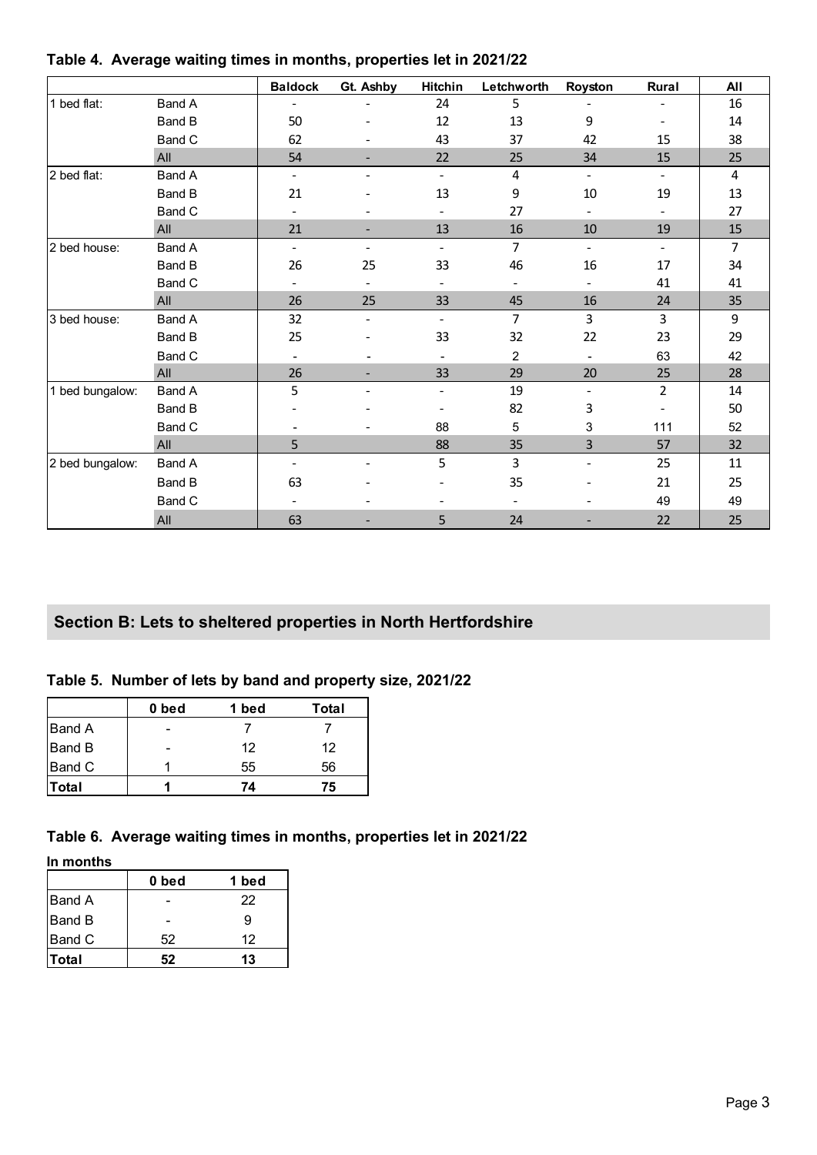|                 |               | <b>Baldock</b>           | Gt. Ashby                    | Hitchin                  | Letchworth     | Royston                  | Rural          | All                     |
|-----------------|---------------|--------------------------|------------------------------|--------------------------|----------------|--------------------------|----------------|-------------------------|
| 1 bed flat:     | Band A        | $\sim$                   |                              | 24                       | 5              |                          | $\blacksquare$ | 16                      |
|                 | Band B        | 50                       |                              | 12                       | 13             | 9                        |                | 14                      |
|                 | Band C        | 62                       | $\overline{\phantom{a}}$     | 43                       | 37             | 42                       | 15             | 38                      |
|                 | All           | 54                       | $\blacksquare$               | 22                       | 25             | 34                       | 15             | 25                      |
| 2 bed flat:     | Band A        | $\blacksquare$           | $\qquad \qquad \blacksquare$ | $\blacksquare$           | 4              | $\blacksquare$           | $\blacksquare$ | $\overline{\mathbf{4}}$ |
|                 | <b>Band B</b> | 21                       |                              | 13                       | 9              | 10                       | 19             | 13                      |
|                 | Band C        | $\blacksquare$           | $\blacksquare$               | Ξ.                       | 27             | $\overline{\phantom{a}}$ |                | 27                      |
|                 | All           | 21                       | $\blacksquare$               | 13                       | 16             | 10                       | 19             | 15                      |
| 2 bed house:    | Band A        | $\blacksquare$           | $\blacksquare$               | $\blacksquare$           | $\overline{7}$ | $\overline{\phantom{a}}$ | $\blacksquare$ | 7                       |
|                 | <b>Band B</b> | 26                       | 25                           | 33                       | 46             | 16                       | 17             | 34                      |
|                 | Band C        |                          | $\blacksquare$               | $\blacksquare$           | $\blacksquare$ | $\overline{\phantom{a}}$ | 41             | 41                      |
|                 | All           | 26                       | 25                           | 33                       | 45             | 16                       | 24             | 35                      |
| 3 bed house:    | Band A        | 32                       | $\blacksquare$               | $\blacksquare$           | $\overline{7}$ | 3                        | 3              | 9                       |
|                 | Band B        | 25                       |                              | 33                       | 32             | 22                       | 23             | 29                      |
|                 | Band C        | $\overline{\phantom{a}}$ | $\blacksquare$               | $\overline{\phantom{a}}$ | 2              | $\blacksquare$           | 63             | 42                      |
|                 | All           | 26                       |                              | 33                       | 29             | 20                       | 25             | 28                      |
| 1 bed bungalow: | Band A        | 5                        | $\blacksquare$               | $\blacksquare$           | 19             | $\overline{\phantom{a}}$ | $\overline{2}$ | 14                      |
|                 | Band B        |                          |                              |                          | 82             | 3                        |                | 50                      |
|                 | Band C        |                          |                              | 88                       | 5              | 3                        | 111            | 52                      |
|                 | All           | 5                        |                              | 88                       | 35             | 3                        | 57             | 32                      |
| 2 bed bungalow: | Band A        | $\overline{\phantom{a}}$ |                              | 5                        | 3              | $\overline{\phantom{0}}$ | 25             | 11                      |
|                 | <b>Band B</b> | 63                       |                              |                          | 35             |                          | 21             | 25                      |
|                 | Band C        |                          |                              | ۰                        | $\blacksquare$ |                          | 49             | 49                      |
|                 | All           | 63                       | ٠                            | 5                        | 24             |                          | 22             | 25                      |

#### **Table 4. Average waiting times in months, properties let in 2021/22**

### **Section B: Lets to sheltered properties in North Hertfordshire**

#### **Table 5. Number of lets by band and property size, 2021/22**

|               | 0 bed | 1 bed | Total |
|---------------|-------|-------|-------|
| <b>Band A</b> |       |       |       |
| Band B        |       | 12    | 12    |
| Band C        |       | 55    | 56    |
| Total         |       | 74    | 75    |

### **Table 6. Average waiting times in months, properties let in 2021/22**

**In months**

|               | 0 bed | 1 bed |
|---------------|-------|-------|
| <b>Band A</b> |       | 22    |
| <b>Band B</b> |       | 9     |
| <b>Band C</b> | 52    | 12    |
| Total         | 52    | 13    |